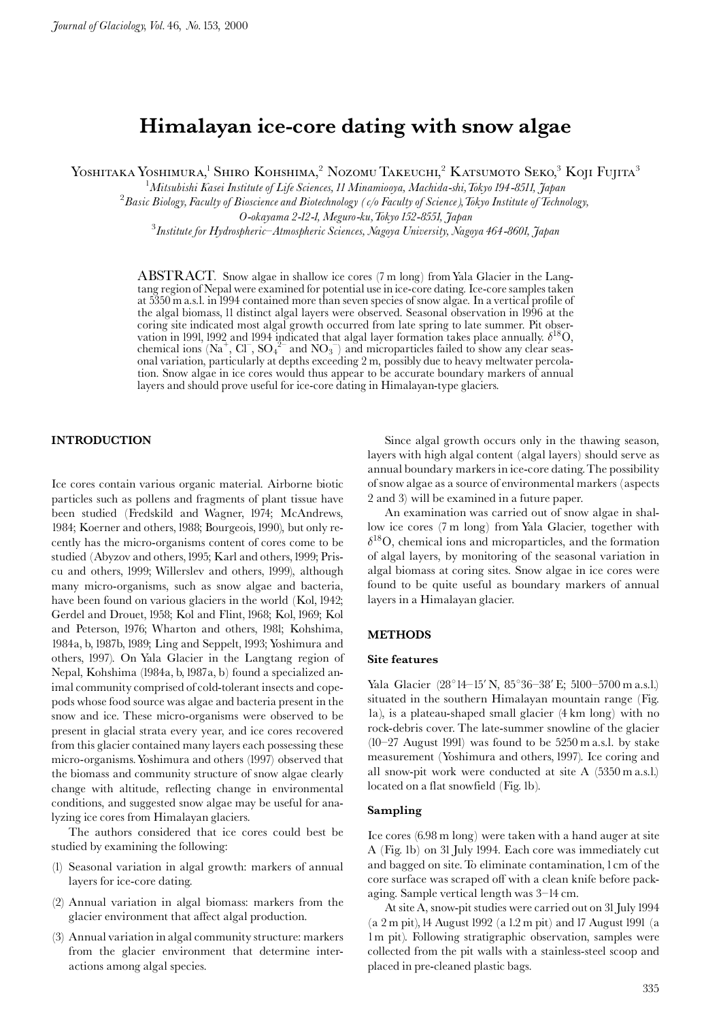# Himalayan ice-core dating with snow algae

YOSHITAKA YOSHIMURA,<sup>1</sup> SHIRO KOHSHIMA,<sup>2</sup> NOZOMU TAKEUCHI,<sup>2</sup> KATSUMOTO SEKO,<sup>3</sup> KOJI FUJITA<sup>3</sup>

 $^1$ Mitsubishi Kasei Institute of Life Sciences, 11 Minamiooya, Machida-shi, Tokyo 194-8511, Japan

<sup>2</sup> Basic Biology, Faculty of Bioscience and Biotechnology (c/o Faculty of Science), Tokyo Institute of Technology,

O-okayama 2-12-1, Meguro-ku, Tokyo 152-8551, Japan

<sup>3</sup> Institute for Hydrospheric-Atmospheric Sciences, Nagoya University, Nagoya 464-8601, Japan

ABSTRACT. Snow algae in shallow ice cores (7 m long) from Yala Glacier in the Langtang region of Nepal were examined for potential use in ice-core dating. Ice-core samples taken at 5350 m a.s.l. in 1994 contained more than seven species of snow algae. In a vertical profile of the algal biomass, 11 distinct algal layers were observed. Seasonal observation in 1996 at the coring site indicated most algal growth occurred from late spring to late summer. Pit observation in 1991, 1992 and 1994 indicated that algal layer formation takes place annually.  $\delta^{18}O$ , chemical ions (Na<sup>+</sup>, Cl<sup>-</sup>, SO<sub>4</sub><sup>2-</sup> and NO<sub>3</sub><sup>-</sup>) and microparticles failed to show any clear seasonal variation, particularly at depths exceeding 2 m, possibly due to heavy meltwater percolation. Snow algae in ice cores would thus appear to be accurate boundary markers of annual layers and should prove useful for ice-core dating in Himalayan-type glaciers.

## **INTRODUCTION**

Ice cores contain various organic material. Airborne biotic particles such as pollens and fragments of plant tissue have been studied (Fredskild and Wagner, 1974; McAndrews, 1984; Koerner and others, 1988; Bourgeois, 1990), but only recently has the micro-organisms content of cores come to be studied (Abyzov and others, 1995; Karl and others, 1999; Priscu and others, 1999; Willerslev and others, 1999), although many micro-organisms, such as snow algae and bacteria, have been found on various glaciers in the world (Kol, 1942; Gerdel and Drouet, 1958; Kol and Flint, 1968; Kol, 1969; Kol and Peterson, 1976; Wharton and others, 1981; Kohshima, 1984a, b, 1987b, 1989; Ling and Seppelt, 1993; Yoshimura and others, 1997). On Yala Glacier in the Langtang region of Nepal, Kohshima (1984a, b, 1987a, b) found a specialized animal community comprised of cold-tolerant insects and copepods whose food source was algae and bacteria present in the snow and ice. These micro-organisms were observed to be present in glacial strata every year, and ice cores recovered from this glacier contained many layers each possessing these micro-organisms. Yoshimura and others (1997) observed that the biomass and community structure of snow algae clearly change with altitude, reflecting change in environmental conditions, and suggested snow algae may be useful for analyzing ice cores from Himalayan glaciers.

The authors considered that ice cores could best be studied by examining the following:

- (1) Seasonal variation in algal growth: markers of annual layers for ice-core dating.
- (2) Annual variation in algal biomass: markers from the glacier environment that affect algal production.
- (3) Annual variation in algal community structure: markers from the glacier environment that determine interactions among algal species.

Since algal growth occurs only in the thawing season, layers with high algal content (algal layers) should serve as annual boundary markers in ice-core dating. The possibility of snow algae as a source of environmental markers (aspects 2 and 3) will be examined in a future paper.

An examination was carried out of snow algae in shallow ice cores (7 m long) from Yala Glacier, together with  $\delta^{18}$ O, chemical ions and microparticles, and the formation of algal layers, by monitoring of the seasonal variation in algal biomass at coring sites. Snow algae in ice cores were found to be quite useful as boundary markers of annual layers in a Himalayan glacier.

### **METHODS**

#### **Site features**

Yala Glacier (28°14-15' N, 85°36-38' E; 5100-5700 m a.s.l.) situated in the southern Himalayan mountain range (Fig. la), is a plateau-shaped small glacier (4 km long) with no rock-debris cover. The late-summer snowline of the glacier  $(10-27 \text{ August } 1991)$  was found to be 5250 m a.s.l. by stake measurement (Yoshimura and others, 1997). Ice coring and all snow-pit work were conducted at site A (5350 m a.s.l.) located on a flat snowfield (Fig. lb).

## Sampling

Ice cores (6.98 m long) were taken with a hand auger at site A (Fig. 1b) on 31 July 1994. Each core was immediately cut and bagged on site. To eliminate contamination, 1 cm of the core surface was scraped off with a clean knife before packaging. Sample vertical length was 3-14 cm.

At site A, snow-pit studies were carried out on 31 July 1994 (a 2 m pit), 14 August 1992 (a 1.2 m pit) and 17 August 1991 (a 1m pit). Following stratigraphic observation, samples were collected from the pit walls with a stainless-steel scoop and placed in pre-cleaned plastic bags.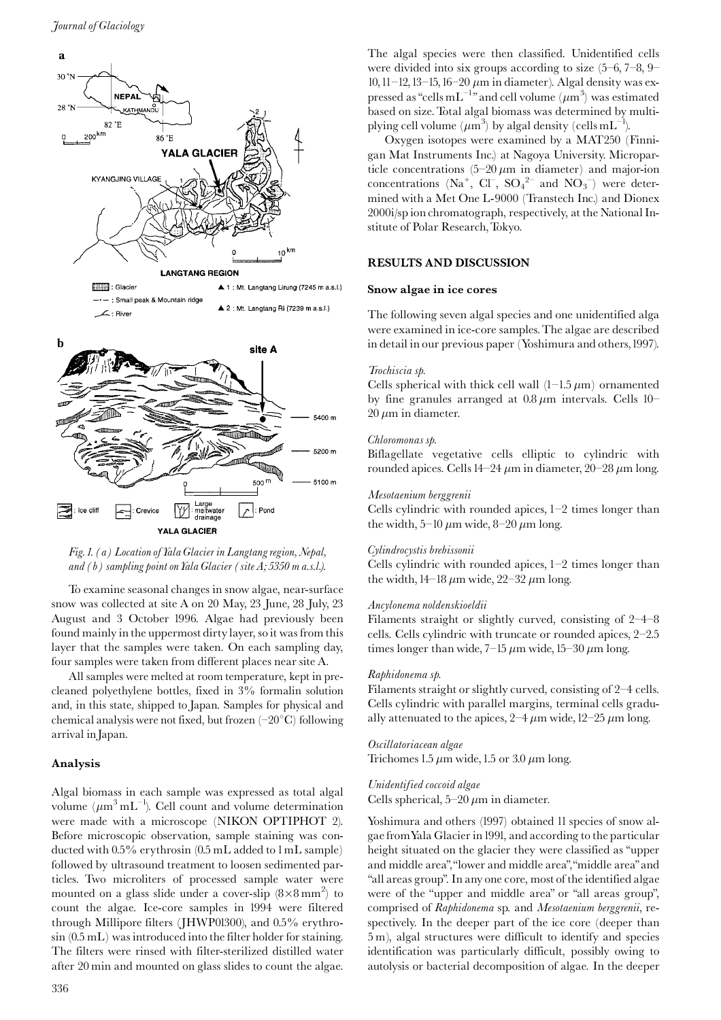

Fig. 1. (a) Location of Yala Glacier in Langtang region, Nepal, and  $(b)$  sampling point on Yala Glacier (site  $A$ ; 5350 m a.s.l.).

**YALA GLACIER** 

To examine seasonal changes in snow algae, near-surface snow was collected at site A on 20 May, 23 June, 28 July, 23 August and 3 October 1996. Algae had previously been found mainly in the uppermost dirty layer, so it was from this layer that the samples were taken. On each sampling day, four samples were taken from different places near site A.

All samples were melted at room temperature, kept in precleaned polyethylene bottles, fixed in 3% formalin solution and, in this state, shipped to Japan. Samples for physical and chemical analysis were not fixed, but frozen  $(-20^{\circ}C)$  following arrival in Japan.

## Analysis

Algal biomass in each sample was expressed as total algal volume  $(\mu m^3 mL^{-1})$ . Cell count and volume determination were made with a microscope (NIKON OPTIPHOT 2). Before microscopic observation, sample staining was conducted with  $0.5\%$  erythrosin  $(0.5 \text{ mL}$  added to  $1 \text{ mL}$  sample) followed by ultrasound treatment to loosen sedimented particles. Two microliters of processed sample water were mounted on a glass slide under a cover-slip  $(8\times8 \text{ mm}^2)$  to count the algae. Ice-core samples in 1994 were filtered through Millipore filters (JHWP01300), and 0.5% erythro- $\sin(0.5$  mL) was introduced into the filter holder for staining. The filters were rinsed with filter-sterilized distilled water after 20 min and mounted on glass slides to count the algae.

The algal species were then classified. Unidentified cells were divided into six groups according to size  $(5-6, 7-8, 9-$ 10, 11-12, 13-15, 16-20  $\mu$ m in diameter). Algal density was expressed as "cells mL<sup>-1</sup>" and cell volume ( $\mu$ m<sup>3</sup>) was estimated based on size. Total algal biomass was determined by multiplying cell volume  $(\mu m^3)$  by algal density (cells mL<sup>-1</sup>).

Oxygen isotopes were examined by a MAT250 (Finnigan Mat Instruments Inc.) at Nagoya University. Microparticle concentrations  $(5-20 \ \mu m)$  in diameter) and major-ion concentrations ( $Na<sup>+</sup>$ ,  $Cl<sup>-</sup>$ ,  $SO<sub>4</sub><sup>2</sup>$  and  $NO<sub>3</sub><sup>-</sup>$ ) were determined with a Met One L-9000 (Transtech Inc.) and Dionex 2000i/sp ion chromatograph, respectively, at the National Institute of Polar Research, Tokyo.

### **RESULTS AND DISCUSSION**

#### Snow algae in ice cores

The following seven algal species and one unidentified alga were examined in ice-core samples. The algae are described in detail in our previous paper (Yoshimura and others, 1997).

#### Trochiscia sp.

Cells spherical with thick cell wall  $(1-1.5 \mu m)$  ornamented by fine granules arranged at  $0.8 \mu m$  intervals. Cells 10- $20 \mu m$  in diameter.

#### Chloromonas sp.

Biflagellate vegetative cells elliptic to cylindric with rounded apices. Cells 14–24  $\mu$ m in diameter, 20–28  $\mu$ m long.

#### Mesotaenium berggrenii

Cells cylindric with rounded apices,  $1-2$  times longer than the width, 5–10  $\mu$ m wide, 8–20  $\mu$ m long.

#### Cylindrocystis brebissonii

Cells cylindric with rounded apices,  $1-2$  times longer than the width,  $14-18 \mu m$  wide,  $22-32 \mu m$  long.

#### Ancylonema noldenskioeldii

Filaments straight or slightly curved, consisting of  $2-4-8$ cells. Cells cylindric with truncate or rounded apices, 2-2.5 times longer than wide,  $7-15 \mu m$  wide,  $15-30 \mu m$  long.

## Raphidonema sp.

Filaments straight or slightly curved, consisting of 2-4 cells. Cells cylindric with parallel margins, terminal cells gradually attenuated to the apices,  $2-4 \mu m$  wide,  $12-25 \mu m$  long.

#### Oscillatoriacean algae

Trichomes 1.5  $\mu$ m wide, 1.5 or 3.0  $\mu$ m long.

# Unidentified coccoid algae

Cells spherical,  $5-20 \mu m$  in diameter.

Yoshimura and others (1997) obtained 11 species of snow algae from Yala Glacier in 1991, and according to the particular height situated on the glacier they were classified as "upper and middle area", "lower and middle area", "middle area" and "all areas group". In any one core, most of the identified algae were of the "upper and middle area" or "all areas group", comprised of Raphidonema sp. and Mesotaenium berggrenii, respectively. In the deeper part of the ice core (deeper than 5 m), algal structures were difficult to identify and species identification was particularly difficult, possibly owing to autolysis or bacterial decomposition of algae. In the deeper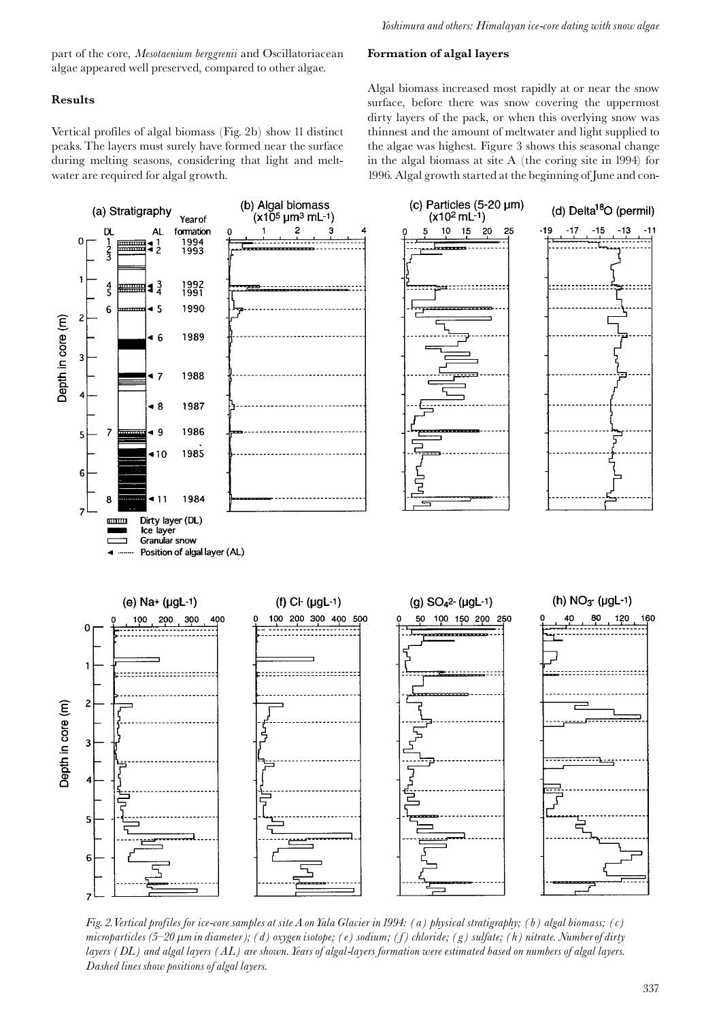part of the core, Mesotaenium berggrenii and Oscillatoriacean algae appeared well preserved, compared to other algae.

## **Results**

Vertical profiles of algal biomass (Fig. 2b) show 11 distinct peaks. The layers must surely have formed near the surface during melting seasons, considering that light and meltwater are required for algal growth.

## Formation of algal layers

Algal biomass increased most rapidly at or near the snow surface, before there was snow covering the uppermost dirty layers of the pack, or when this overlying snow was thinnest and the amount of meltwater and light supplied to the algae was highest. Figure 3 shows this seasonal change in the algal biomass at site A (the coring site in 1994) for 1996. Algal growth started at the beginning of June and con-



Fig. 2. Vertical profiles for ice-core samples at site A on Yala Glacier in 1994: (a) physical stratigraphy; (b) algal biomass; (c) microparticles (5–20  $\mu$ m in diameter); (d) oxygen isotope; (e) sodium; (f) chloride; (g) sulfate; (h) nitrate. Number of dirty layers ( $DL$ ) and algal layers ( $AL$ ) are shown. Years of algal-layers formation were estimated based on numbers of algal layers. Dashed lines show positions of algal layers.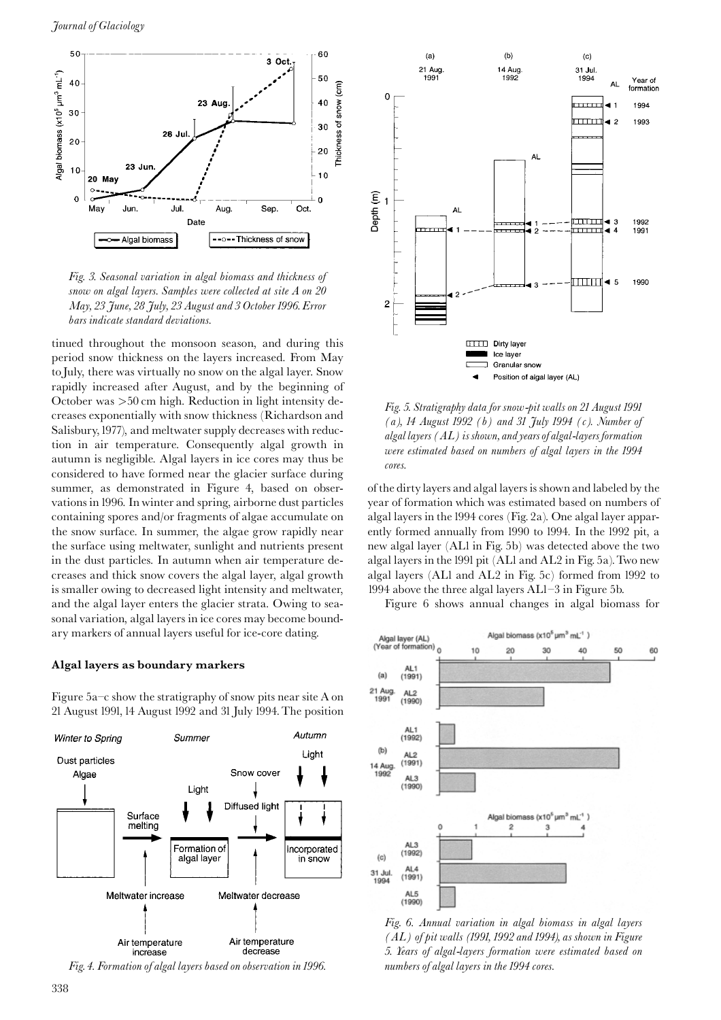



tinued throughout the monsoon season, and during this period snow thickness on the layers increased. From May to July, there was virtually no snow on the algal layer. Snow rapidly increased after August, and by the beginning of October was  $>50$  cm high. Reduction in light intensity decreases exponentially with snow thickness (Richardson and Salisbury, 1977), and meltwater supply decreases with reduction in air temperature. Consequently algal growth in autumn is negligible. Algal layers in ice cores may thus be considered to have formed near the glacier surface during summer, as demonstrated in Figure 4, based on observations in 1996. In winter and spring, airborne dust particles containing spores and/or fragments of algae accumulate on the snow surface. In summer, the algae grow rapidly near the surface using meltwater, sunlight and nutrients present in the dust particles. In autumn when air temperature decreases and thick snow covers the algal layer, algal growth is smaller owing to decreased light intensity and meltwater, and the algal layer enters the glacier strata. Owing to seasonal variation, algal layers in ice cores may become boundary markers of annual layers useful for ice-core dating.

## Algal layers as boundary markers

Figure  $5a-c$  show the stratigraphy of snow pits near site A on 21 August 1991, 14 August 1992 and 31 July 1994. The position



Fig. 4. Formation of algal layers based on observation in 1996.



Fig. 5. Stratigraphy data for snow-pit walls on 21 August 1991 (a), 14 August 1992 (b) and 31 July 1994 (c). Number of algal layers  $(AL)$  is shown, and years of algal-layers formation were estimated based on numbers of algal layers in the 1994 cores.

of the dirty layers and algal layers is shown and labeled by the year of formation which was estimated based on numbers of algal layers in the 1994 cores (Fig. 2a). One algal layer apparently formed annually from 1990 to 1994. In the 1992 pit, a new algal layer (ALI in Fig. 5b) was detected above the two algal layers in the 1991 pit (AL1 and AL2 in Fig. 5a). Two new algal layers (AL1 and AL2 in Fig. 5c) formed from 1992 to 1994 above the three algal layers AL1-3 in Figure 5b.

Figure 6 shows annual changes in algal biomass for



Fig. 6. Annual variation in algal biomass in algal layers  $(AL)$  of pit walls (1991, 1992 and 1994), as shown in Figure 5. Years of algal-layers formation were estimated based on numbers of algal layers in the 1994 cores.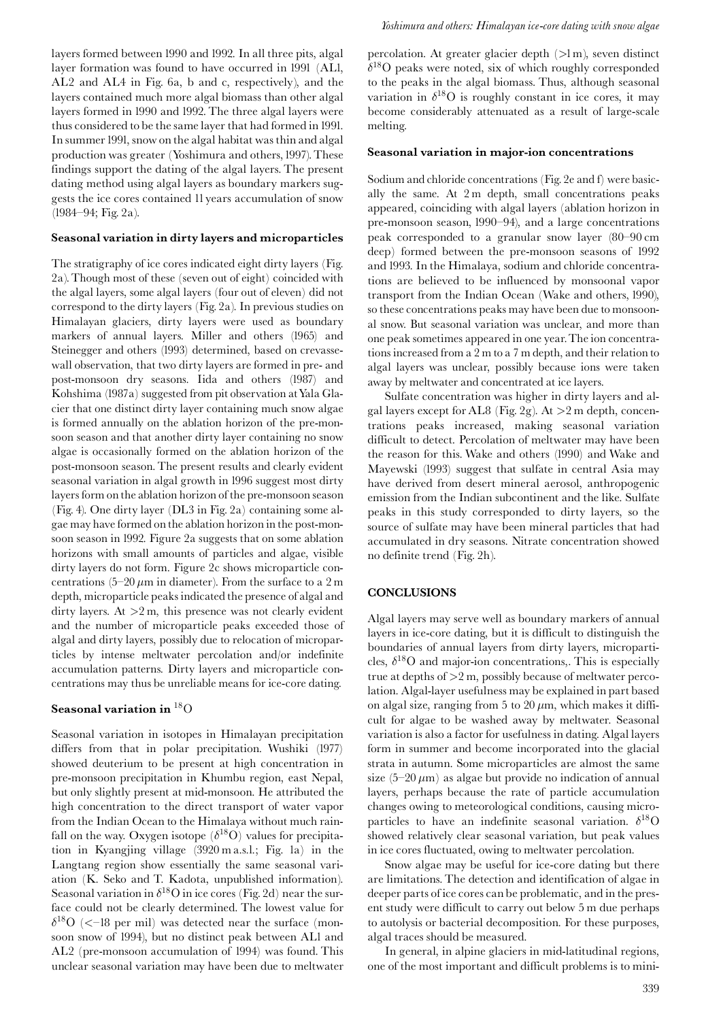layers formed between 1990 and 1992. In all three pits, algal layer formation was found to have occurred in 1991 (ALI, AL2 and AL4 in Fig. 6a, b and c, respectively), and the layers contained much more algal biomass than other algal layers formed in 1990 and 1992. The three algal layers were thus considered to be the same layer that had formed in 1991. In summer 1991, snow on the algal habitat was thin and algal production was greater (Yoshimura and others, 1997). These findings support the dating of the algal layers. The present dating method using algal layers as boundary markers suggests the ice cores contained 11 years accumulation of snow (1984-94; Fig. 2a).

## Seasonal variation in dirty layers and microparticles

The stratigraphy of ice cores indicated eight dirty layers (Fig. 2a). Though most of these (seven out of eight) coincided with the algal layers, some algal layers (four out of eleven) did not correspond to the dirty layers (Fig. 2a). In previous studies on Himalayan glaciers, dirty layers were used as boundary markers of annual layers. Miller and others (1965) and Steinegger and others (1993) determined, based on crevassewall observation, that two dirty layers are formed in pre- and post-monsoon dry seasons. Iida and others (1987) and Kohshima (1987a) suggested from pit observation at Yala Glacier that one distinct dirty layer containing much snow algae is formed annually on the ablation horizon of the pre-monsoon season and that another dirty layer containing no snow algae is occasionally formed on the ablation horizon of the post-monsoon season. The present results and clearly evident seasonal variation in algal growth in 1996 suggest most dirty layers form on the ablation horizon of the pre-monsoon season (Fig. 4). One dirty layer (DL3 in Fig. 2a) containing some algae may have formed on the ablation horizon in the post-monsoon season in 1992. Figure 2a suggests that on some ablation horizons with small amounts of particles and algae, visible dirty layers do not form. Figure 2c shows microparticle concentrations (5-20  $\mu$ m in diameter). From the surface to a 2 m depth, microparticle peaks indicated the presence of algal and dirty layers. At  $>2$  m, this presence was not clearly evident and the number of microparticle peaks exceeded those of algal and dirty layers, possibly due to relocation of microparticles by intense meltwater percolation and/or indefinite accumulation patterns. Dirty layers and microparticle concentrations may thus be unreliable means for ice-core dating.

## Seasonal variation in <sup>18</sup>O

Seasonal variation in isotopes in Himalayan precipitation differs from that in polar precipitation. Wushiki (1977) showed deuterium to be present at high concentration in pre-monsoon precipitation in Khumbu region, east Nepal, but only slightly present at mid-monsoon. He attributed the high concentration to the direct transport of water vapor from the Indian Ocean to the Himalaya without much rainfall on the way. Oxygen isotope  $(\delta^{18}O)$  values for precipitation in Kyangjing village (3920 m a.s.l.; Fig. 1a) in the Langtang region show essentially the same seasonal variation (K. Seko and T. Kadota, unpublished information). Seasonal variation in  $\delta^{18}$ O in ice cores (Fig. 2d) near the surface could not be clearly determined. The lowest value for  $\delta^{18}$ O (<-18 per mil) was detected near the surface (monsoon snow of 1994), but no distinct peak between ALl and AL2 (pre-monsoon accumulation of 1994) was found. This unclear seasonal variation may have been due to meltwater percolation. At greater glacier depth  $(>\!1\,\mathrm{m})$ , seven distinct  $\delta^{18}$ O peaks were noted, six of which roughly corresponded to the peaks in the algal biomass. Thus, although seasonal variation in  $\delta^{18}O$  is roughly constant in ice cores, it may become considerably attenuated as a result of large-scale melting.

#### Seasonal variation in major-ion concentrations

Sodium and chloride concentrations (Fig. 2e and f) were basically the same. At 2 m depth, small concentrations peaks appeared, coinciding with algal layers (ablation horizon in pre-monsoon season, 1990–94), and a large concentrations peak corresponded to a granular snow layer (80–90 cm deep) formed between the pre-monsoon seasons of 1992 and 1993. In the Himalaya, sodium and chloride concentrations are believed to be influenced by monsoonal vapor transport from the Indian Ocean (Wake and others, 1990), so these concentrations peaks may have been due to monsoonal snow. But seasonal variation was unclear, and more than one peak sometimes appeared in one year. The ion concentrations increased from a 2 m to a 7 m depth, and their relation to algal layers was unclear, possibly because ions were taken away by meltwater and concentrated at ice layers.

Sulfate concentration was higher in dirty layers and algal layers except for AL8 (Fig. 2g). At  $>2$  m depth, concentrations peaks increased, making seasonal variation difficult to detect. Percolation of meltwater may have been the reason for this. Wake and others (1990) and Wake and Mayewski (1993) suggest that sulfate in central Asia may have derived from desert mineral aerosol, anthropogenic emission from the Indian subcontinent and the like. Sulfate peaks in this study corresponded to dirty layers, so the source of sulfate may have been mineral particles that had accumulated in dry seasons. Nitrate concentration showed no definite trend (Fig. 2h).

### **CONCLUSIONS**

Algal layers may serve well as boundary markers of annual layers in ice-core dating, but it is difficult to distinguish the boundaries of annual layers from dirty layers, microparticles,  $\delta^{18}$ O and major-ion concentrations,. This is especially true at depths of  $>2$  m, possibly because of meltwater percolation. Algal-layer usefulness may be explained in part based on algal size, ranging from 5 to 20  $\mu$ m, which makes it difficult for algae to be washed away by meltwater. Seasonal variation is also a factor for usefulness in dating. Algal layers form in summer and become incorporated into the glacial strata in autumn. Some microparticles are almost the same size  $(5-20 \,\mu m)$  as algae but provide no indication of annual layers, perhaps because the rate of particle accumulation changes owing to meteorological conditions, causing microparticles to have an indefinite seasonal variation.  $\delta^{18}O$ showed relatively clear seasonal variation, but peak values in ice cores fluctuated, owing to meltwater percolation.

Snow algae may be useful for ice-core dating but there are limitations. The detection and identification of algae in deeper parts of ice cores can be problematic, and in the present study were difficult to carry out below 5 m due perhaps to autolysis or bacterial decomposition. For these purposes, algal traces should be measured.

In general, in alpine glaciers in mid-latitudinal regions, one of the most important and difficult problems is to mini